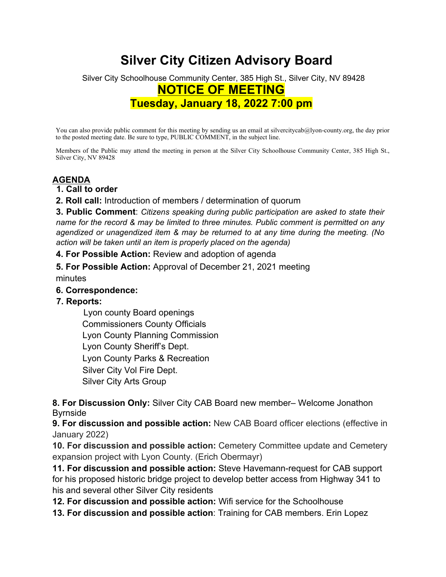# **Silver City Citizen Advisory Board**

# Silver City Schoolhouse Community Center, 385 High St., Silver City, NV 89428 **NOTICE OF MEETING Tuesday, January 18, 2022 7:00 pm**

You can also provide public comment for this meeting by sending us an email at silvercitycab@lyon-county.org, the day prior to the posted meeting date. Be sure to type, PUBLIC COMMENT, in the subject line.

Members of the Public may attend the meeting in person at the Silver City Schoolhouse Community Center, 385 High St., Silver City, NV 89428

# **AGENDA**

#### **1. Call to order**

**2. Roll call:** Introduction of members / determination of quorum

**3. Public Comment**: *Citizens speaking during public participation are asked to state their name for the record & may be limited to three minutes. Public comment is permitted on any agendized or unagendized item & may be returned to at any time during the meeting. (No action will be taken until an item is properly placed on the agenda)* 

**4. For Possible Action:** Review and adoption of agenda

**5. For Possible Action:** Approval of December 21, 2021 meeting minutes

#### **6. Correspondence:**

### **7. Reports:**

 Lyon county Board openings Commissioners County Officials Lyon County Planning Commission Lyon County Sheriff's Dept. Lyon County Parks & Recreation Silver City Vol Fire Dept. Silver City Arts Group

**8. For Discussion Only:** Silver City CAB Board new member– Welcome Jonathon Byrnside

**9. For discussion and possible action:** New CAB Board officer elections (effective in January 2022)

**10. For discussion and possible action:** Cemetery Committee update and Cemetery expansion project with Lyon County. (Erich Obermayr)

**11. For discussion and possible action:** Steve Havemann-request for CAB support for his proposed historic bridge project to develop better access from Highway 341 to his and several other Silver City residents

**12. For discussion and possible action:** Wifi service for the Schoolhouse

**13. For discussion and possible action**: Training for CAB members. Erin Lopez